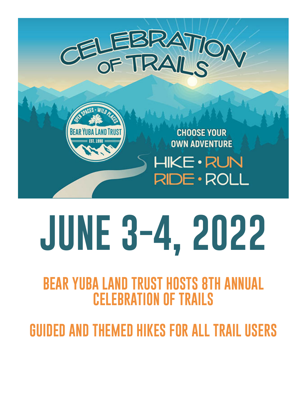



**CHOOSE YOUR OWN ADVENTURE** 

HIKE • RUN RIDE · ROLL

# **JUNE 3-4, 2022**

## **BEAR YUBA LAND TRUST HOSTS 8TH ANNUAL CELEBRATION OF TRAILS**

**GUIDED AND THEMED HIKES FOR ALL TRAIL USERS**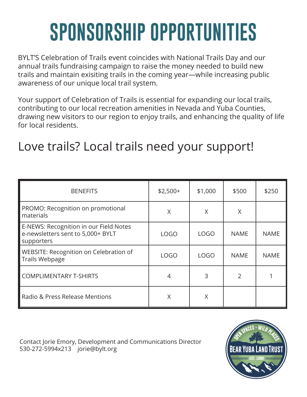## **SPONSORSHIP OPPORTUNITIES**

BYLT'S Celebration of Trails event coincides with National Trails Day and our annual trails fundraising campaign to raise the money needed to build new trails and maintain exisiting trails in the coming year—while increasing public awareness of our unique local trail system.

Your support of Celebration of Trails is essential for expanding our local trails, contributing to our local recreation amenities in Nevada and Yuba Counties, drawing new visitors to our region to enjoy trails, and enhancing the quality of life for local residents.

### Love trails? Local trails need your support!

| <b>BENEFITS</b>                                                                           | $$2,500+$   | \$1,000     | \$500          | \$250       |
|-------------------------------------------------------------------------------------------|-------------|-------------|----------------|-------------|
| PROMO: Recognition on promotional<br>materials                                            | X           | X           | X              |             |
| E-NEWS: Recognition in our Field Notes<br>e-newsletters sent to 5,000+ BYLT<br>supporters | <b>LOGO</b> | <b>LOGO</b> | <b>NAME</b>    | <b>NAME</b> |
| WEBSITE: Recognition on Celebration of<br>Trails Webpage                                  | <b>LOGO</b> | <b>LOGO</b> | <b>NAME</b>    | <b>NAME</b> |
| <b>COMPLIMENTARY T-SHIRTS</b>                                                             | 4           | 3           | $\overline{2}$ |             |
| Radio & Press Release Mentions                                                            | X           | X           |                |             |

Contact Jorie Emory, Development and Communications Director 530-272-5994x213 jorie@bylt.org